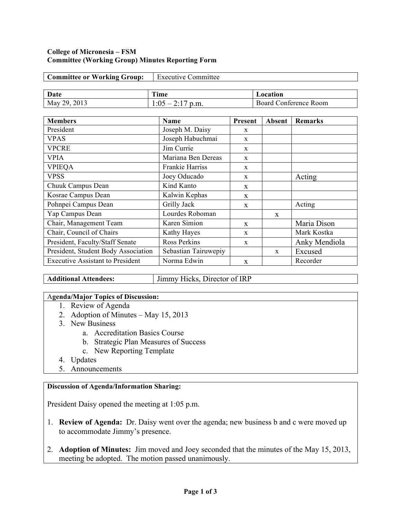#### **College of Micronesia – FSM Committee (Working Group) Minutes Reporting Form**

| <b>Committee or Working Group:</b> | <b>Executive Committee</b> |          |
|------------------------------------|----------------------------|----------|
|                                    |                            |          |
|                                    |                            |          |
| Date                               | Time                       | Location |

| <b>Members</b>                          | <b>Name</b>            | Present      | Absent       | <b>Remarks</b> |
|-----------------------------------------|------------------------|--------------|--------------|----------------|
| President                               | Joseph M. Daisy        | $\mathbf{x}$ |              |                |
| <b>VPAS</b>                             | Joseph Habuchmai       | $\mathbf{x}$ |              |                |
| <b>VPCRE</b>                            | Jim Currie             | X            |              |                |
| <b>VPIA</b>                             | Mariana Ben Dereas     | X            |              |                |
| <b>VPIEQA</b>                           | <b>Frankie Harriss</b> | $\mathbf{x}$ |              |                |
| <b>VPSS</b>                             | Joey Oducado           | $\mathbf{x}$ |              | Acting         |
| Chuuk Campus Dean                       | Kind Kanto             | X            |              |                |
| Kosrae Campus Dean                      | Kalwin Kephas          | $\mathbf{x}$ |              |                |
| Pohnpei Campus Dean                     | Grilly Jack            | X            |              | Acting         |
| Yap Campus Dean                         | Lourdes Roboman        |              | $\mathbf{x}$ |                |
| Chair, Management Team                  | Karen Simion           | X            |              | Maria Dison    |
| Chair, Council of Chairs                | Kathy Hayes            | $\mathbf{x}$ |              | Mark Kostka    |
| President, Faculty/Staff Senate         | <b>Ross Perkins</b>    | $\mathbf{x}$ |              | Anky Mendiola  |
| President, Student Body Association     | Sebastian Tairuwepiy   |              | X            | Excused        |
| <b>Executive Assistant to President</b> | Norma Edwin            | $\mathbf{x}$ |              | Recorder       |

**Additional Attendees:** Jimmy Hicks, Director of IRP

### A**genda/Major Topics of Discussion:**

- 1. Review of Agenda
- 2. Adoption of Minutes May 15, 2013
- 3. New Business
	- a. Accreditation Basics Course
	- b. Strategic Plan Measures of Success
	- c. New Reporting Template
- 4. Updates
- 5. Announcements

# **Discussion of Agenda/Information Sharing:**

President Daisy opened the meeting at 1:05 p.m.

- 1. **Review of Agenda:** Dr. Daisy went over the agenda; new business b and c were moved up to accommodate Jimmy's presence.
- 2. **Adoption of Minutes:** Jim moved and Joey seconded that the minutes of the May 15, 2013, meeting be adopted. The motion passed unanimously.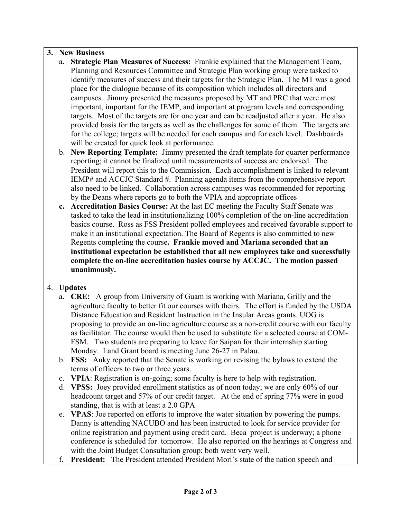# **3. New Business**

- a. **Strategic Plan Measures of Success:** Frankie explained that the Management Team, Planning and Resources Committee and Strategic Plan working group were tasked to identify measures of success and their targets for the Strategic Plan. The MT was a good place for the dialogue because of its composition which includes all directors and campuses. Jimmy presented the measures proposed by MT and PRC that were most important, important for the IEMP, and important at program levels and corresponding targets. Most of the targets are for one year and can be readjusted after a year. He also provided basis for the targets as well as the challenges for some of them. The targets are for the college; targets will be needed for each campus and for each level. Dashboards will be created for quick look at performance.
- b. **New Reporting Template:** Jimmy presented the draft template for quarter performance reporting; it cannot be finalized until measurements of success are endorsed. The President will report this to the Commission. Each accomplishment is linked to relevant IEMP# and ACCJC Standard #. Planning agenda items from the comprehensive report also need to be linked. Collaboration across campuses was recommended for reporting by the Deans where reports go to both the VPIA and appropriate offices
- **c. Accreditation Basics Course:** At the last EC meeting the Faculty Staff Senate was tasked to take the lead in institutionalizing 100% completion of the on-line accreditation basics course. Ross as FSS President polled employees and received favorable support to make it an institutional expectation. The Board of Regents is also committed to new Regents completing the course**. Frankie moved and Mariana seconded that an institutional expectation be established that all new employees take and successfully complete the on-line accreditation basics course by ACCJC. The motion passed unanimously.**

# 4. **Updates**

- a. **CRE:** A group from University of Guam is working with Mariana, Grilly and the agriculture faculty to better fit our courses with theirs. The effort is funded by the USDA Distance Education and Resident Instruction in the Insular Areas grants. UOG is proposing to provide an on-line agriculture course as a non-credit course with our faculty as facilitator. The course would then be used to substitute for a selected course at COM-FSM. Two students are preparing to leave for Saipan for their internship starting Monday. Land Grant board is meeting June 26-27 in Palau.
- b. **FSS:** Anky reported that the Senate is working on revising the bylaws to extend the terms of officers to two or three years.
- c. **VPIA**: Registration is on-going; some faculty is here to help with registration.
- d. **VPSS:** Joey provided enrollment statistics as of noon today; we are only 60% of our headcount target and 57% of our credit target. At the end of spring 77% were in good standing, that is with at least a 2.0 GPA
- e. **VPAS**: Joe reported on efforts to improve the water situation by powering the pumps. Danny is attending NACUBO and has been instructed to look for service provider for online registration and payment using credit card. Beca project is underway; a phone conference is scheduled for tomorrow. He also reported on the hearings at Congress and with the Joint Budget Consultation group; both went very well.
- f. **President:** The President attended President Mori's state of the nation speech and